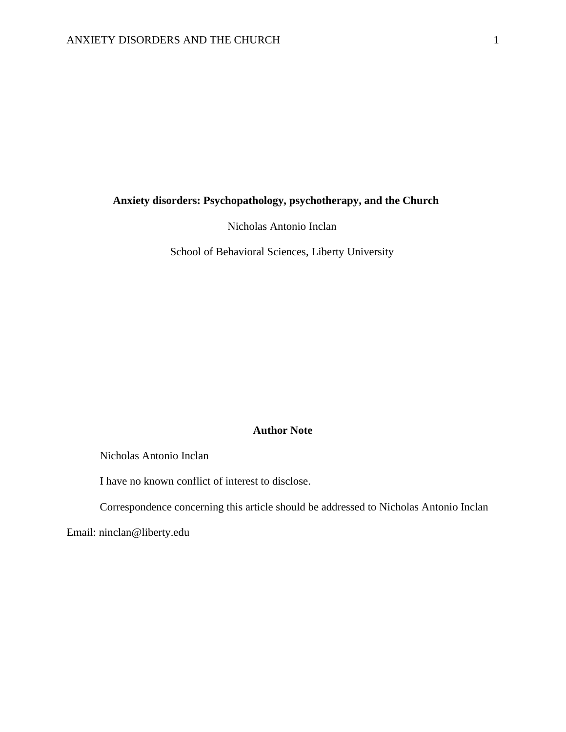# **Anxiety disorders: Psychopathology, psychotherapy, and the Church**

Nicholas Antonio Inclan

School of Behavioral Sciences, Liberty University

## **Author Note**

Nicholas Antonio Inclan

I have no known conflict of interest to disclose.

Correspondence concerning this article should be addressed to Nicholas Antonio Inclan

Email: ninclan@liberty.edu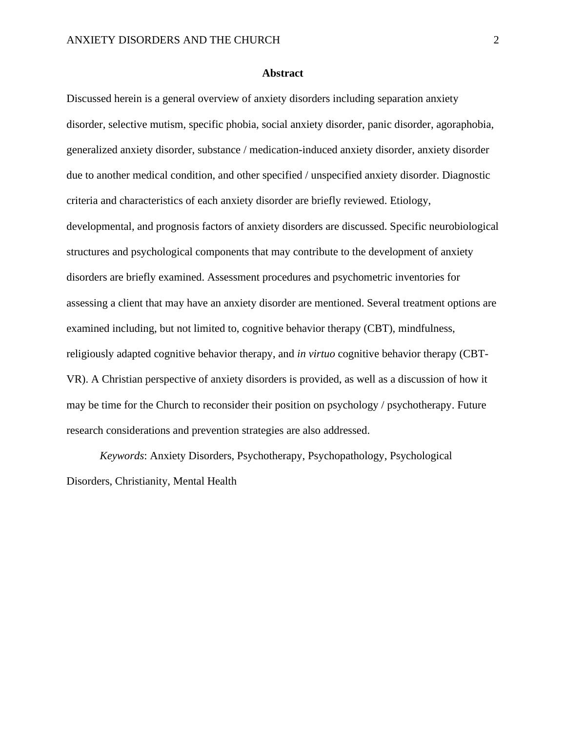### **Abstract**

Discussed herein is a general overview of anxiety disorders including separation anxiety disorder, selective mutism, specific phobia, social anxiety disorder, panic disorder, agoraphobia, generalized anxiety disorder, substance / medication-induced anxiety disorder, anxiety disorder due to another medical condition, and other specified / unspecified anxiety disorder. Diagnostic criteria and characteristics of each anxiety disorder are briefly reviewed. Etiology, developmental, and prognosis factors of anxiety disorders are discussed. Specific neurobiological structures and psychological components that may contribute to the development of anxiety disorders are briefly examined. Assessment procedures and psychometric inventories for assessing a client that may have an anxiety disorder are mentioned. Several treatment options are examined including, but not limited to, cognitive behavior therapy (CBT), mindfulness, religiously adapted cognitive behavior therapy, and *in virtuo* cognitive behavior therapy (CBT-VR). A Christian perspective of anxiety disorders is provided, as well as a discussion of how it may be time for the Church to reconsider their position on psychology / psychotherapy. Future research considerations and prevention strategies are also addressed.

*Keywords*: Anxiety Disorders, Psychotherapy, Psychopathology, Psychological Disorders, Christianity, Mental Health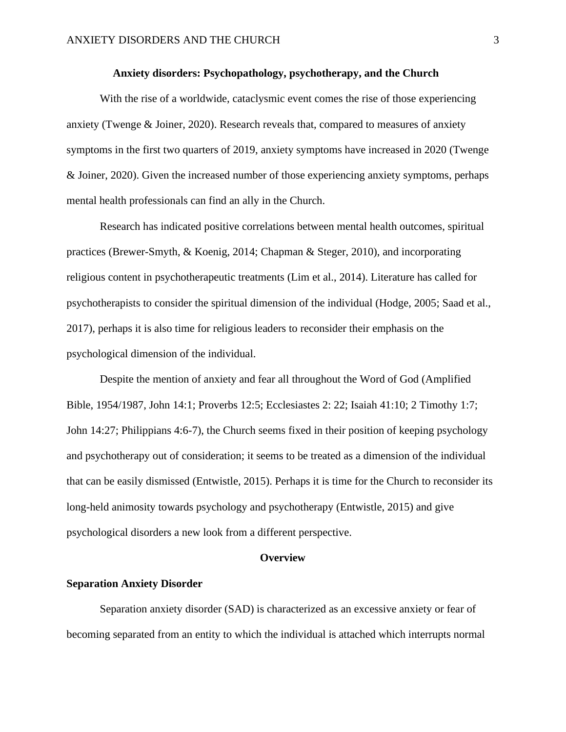### **Anxiety disorders: Psychopathology, psychotherapy, and the Church**

With the rise of a worldwide, cataclysmic event comes the rise of those experiencing anxiety (Twenge & Joiner, 2020). Research reveals that, compared to measures of anxiety symptoms in the first two quarters of 2019, anxiety symptoms have increased in 2020 (Twenge & Joiner, 2020). Given the increased number of those experiencing anxiety symptoms, perhaps mental health professionals can find an ally in the Church.

Research has indicated positive correlations between mental health outcomes, spiritual practices (Brewer-Smyth, & Koenig, 2014; Chapman & Steger, 2010), and incorporating religious content in psychotherapeutic treatments (Lim et al., 2014). Literature has called for psychotherapists to consider the spiritual dimension of the individual (Hodge, 2005; Saad et al., 2017), perhaps it is also time for religious leaders to reconsider their emphasis on the psychological dimension of the individual.

Despite the mention of anxiety and fear all throughout the Word of God (Amplified Bible, 1954/1987, John 14:1; Proverbs 12:5; Ecclesiastes 2: 22; Isaiah 41:10; 2 Timothy 1:7; John 14:27; Philippians 4:6-7), the Church seems fixed in their position of keeping psychology and psychotherapy out of consideration; it seems to be treated as a dimension of the individual that can be easily dismissed (Entwistle, 2015). Perhaps it is time for the Church to reconsider its long-held animosity towards psychology and psychotherapy (Entwistle, 2015) and give psychological disorders a new look from a different perspective.

#### **Overview**

#### **Separation Anxiety Disorder**

Separation anxiety disorder (SAD) is characterized as an excessive anxiety or fear of becoming separated from an entity to which the individual is attached which interrupts normal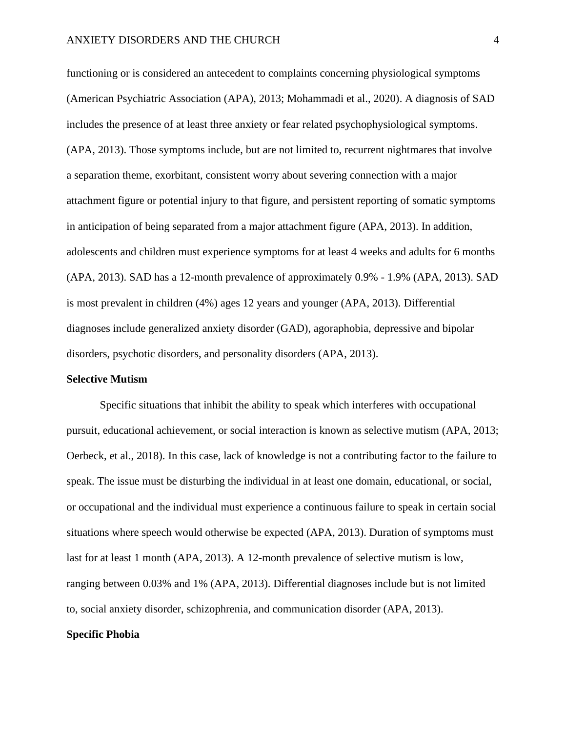functioning or is considered an antecedent to complaints concerning physiological symptoms (American Psychiatric Association (APA), 2013; Mohammadi et al., 2020). A diagnosis of SAD includes the presence of at least three anxiety or fear related psychophysiological symptoms. (APA, 2013). Those symptoms include, but are not limited to, recurrent nightmares that involve a separation theme, exorbitant, consistent worry about severing connection with a major attachment figure or potential injury to that figure, and persistent reporting of somatic symptoms in anticipation of being separated from a major attachment figure (APA, 2013). In addition, adolescents and children must experience symptoms for at least 4 weeks and adults for 6 months (APA, 2013). SAD has a 12-month prevalence of approximately 0.9% - 1.9% (APA, 2013). SAD is most prevalent in children (4%) ages 12 years and younger (APA, 2013). Differential diagnoses include generalized anxiety disorder (GAD), agoraphobia, depressive and bipolar disorders, psychotic disorders, and personality disorders (APA, 2013).

#### **Selective Mutism**

Specific situations that inhibit the ability to speak which interferes with occupational pursuit, educational achievement, or social interaction is known as selective mutism (APA, 2013; Oerbeck, et al., 2018). In this case, lack of knowledge is not a contributing factor to the failure to speak. The issue must be disturbing the individual in at least one domain, educational, or social, or occupational and the individual must experience a continuous failure to speak in certain social situations where speech would otherwise be expected (APA, 2013). Duration of symptoms must last for at least 1 month (APA, 2013). A 12-month prevalence of selective mutism is low, ranging between 0.03% and 1% (APA, 2013). Differential diagnoses include but is not limited to, social anxiety disorder, schizophrenia, and communication disorder (APA, 2013).

## **Specific Phobia**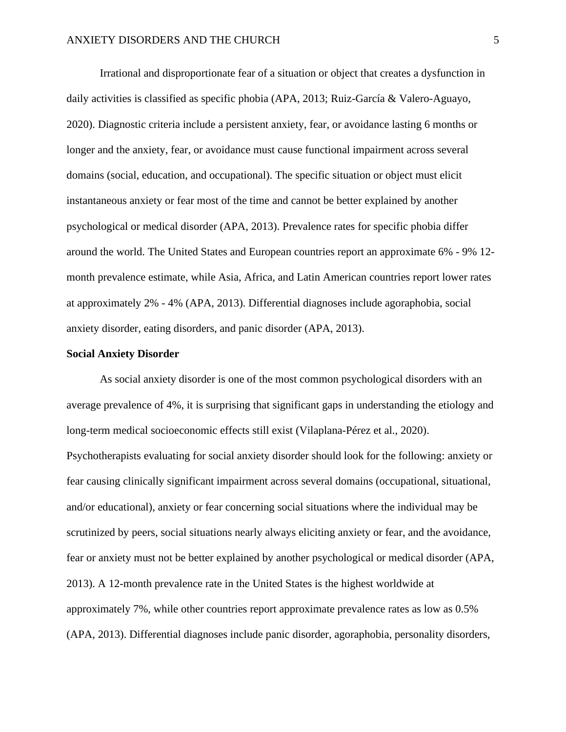Irrational and disproportionate fear of a situation or object that creates a dysfunction in daily activities is classified as specific phobia (APA, 2013; Ruiz-García & Valero-Aguayo, 2020). Diagnostic criteria include a persistent anxiety, fear, or avoidance lasting 6 months or longer and the anxiety, fear, or avoidance must cause functional impairment across several domains (social, education, and occupational). The specific situation or object must elicit instantaneous anxiety or fear most of the time and cannot be better explained by another psychological or medical disorder (APA, 2013). Prevalence rates for specific phobia differ around the world. The United States and European countries report an approximate 6% - 9% 12 month prevalence estimate, while Asia, Africa, and Latin American countries report lower rates at approximately 2% - 4% (APA, 2013). Differential diagnoses include agoraphobia, social anxiety disorder, eating disorders, and panic disorder (APA, 2013).

### **Social Anxiety Disorder**

As social anxiety disorder is one of the most common psychological disorders with an average prevalence of 4%, it is surprising that significant gaps in understanding the etiology and long-term medical socioeconomic effects still exist (Vilaplana-Pérez et al., 2020). Psychotherapists evaluating for social anxiety disorder should look for the following: anxiety or fear causing clinically significant impairment across several domains (occupational, situational, and/or educational), anxiety or fear concerning social situations where the individual may be scrutinized by peers, social situations nearly always eliciting anxiety or fear, and the avoidance, fear or anxiety must not be better explained by another psychological or medical disorder (APA, 2013). A 12-month prevalence rate in the United States is the highest worldwide at approximately 7%, while other countries report approximate prevalence rates as low as 0.5% (APA, 2013). Differential diagnoses include panic disorder, agoraphobia, personality disorders,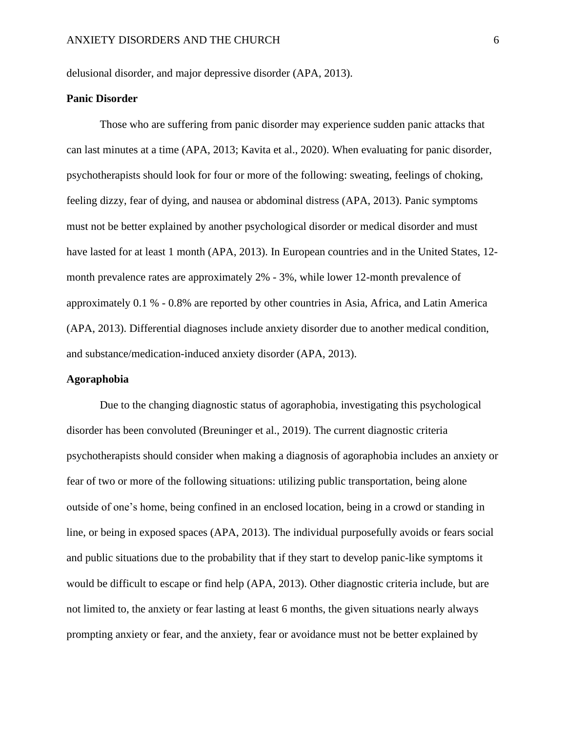delusional disorder, and major depressive disorder (APA, 2013).

### **Panic Disorder**

Those who are suffering from panic disorder may experience sudden panic attacks that can last minutes at a time (APA, 2013; Kavita et al., 2020). When evaluating for panic disorder, psychotherapists should look for four or more of the following: sweating, feelings of choking, feeling dizzy, fear of dying, and nausea or abdominal distress (APA, 2013). Panic symptoms must not be better explained by another psychological disorder or medical disorder and must have lasted for at least 1 month (APA, 2013). In European countries and in the United States, 12month prevalence rates are approximately 2% - 3%, while lower 12-month prevalence of approximately 0.1 % - 0.8% are reported by other countries in Asia, Africa, and Latin America (APA, 2013). Differential diagnoses include anxiety disorder due to another medical condition, and substance/medication-induced anxiety disorder (APA, 2013).

#### **Agoraphobia**

Due to the changing diagnostic status of agoraphobia, investigating this psychological disorder has been convoluted (Breuninger et al., 2019). The current diagnostic criteria psychotherapists should consider when making a diagnosis of agoraphobia includes an anxiety or fear of two or more of the following situations: utilizing public transportation, being alone outside of one's home, being confined in an enclosed location, being in a crowd or standing in line, or being in exposed spaces (APA, 2013). The individual purposefully avoids or fears social and public situations due to the probability that if they start to develop panic-like symptoms it would be difficult to escape or find help (APA, 2013). Other diagnostic criteria include, but are not limited to, the anxiety or fear lasting at least 6 months, the given situations nearly always prompting anxiety or fear, and the anxiety, fear or avoidance must not be better explained by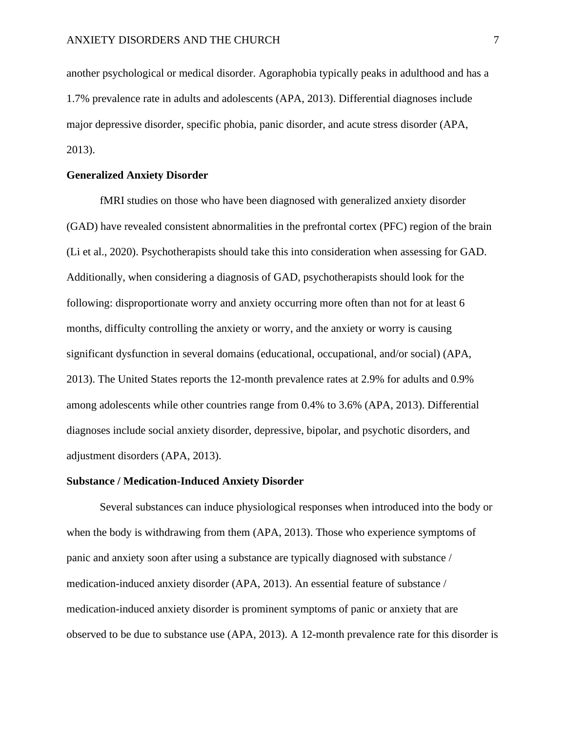another psychological or medical disorder. Agoraphobia typically peaks in adulthood and has a 1.7% prevalence rate in adults and adolescents (APA, 2013). Differential diagnoses include major depressive disorder, specific phobia, panic disorder, and acute stress disorder (APA, 2013).

### **Generalized Anxiety Disorder**

fMRI studies on those who have been diagnosed with generalized anxiety disorder (GAD) have revealed consistent abnormalities in the prefrontal cortex (PFC) region of the brain (Li et al., 2020). Psychotherapists should take this into consideration when assessing for GAD. Additionally, when considering a diagnosis of GAD, psychotherapists should look for the following: disproportionate worry and anxiety occurring more often than not for at least 6 months, difficulty controlling the anxiety or worry, and the anxiety or worry is causing significant dysfunction in several domains (educational, occupational, and/or social) (APA, 2013). The United States reports the 12-month prevalence rates at 2.9% for adults and 0.9% among adolescents while other countries range from 0.4% to 3.6% (APA, 2013). Differential diagnoses include social anxiety disorder, depressive, bipolar, and psychotic disorders, and adjustment disorders (APA, 2013).

#### **Substance / Medication-Induced Anxiety Disorder**

Several substances can induce physiological responses when introduced into the body or when the body is withdrawing from them (APA, 2013). Those who experience symptoms of panic and anxiety soon after using a substance are typically diagnosed with substance / medication-induced anxiety disorder (APA, 2013). An essential feature of substance / medication-induced anxiety disorder is prominent symptoms of panic or anxiety that are observed to be due to substance use (APA, 2013). A 12-month prevalence rate for this disorder is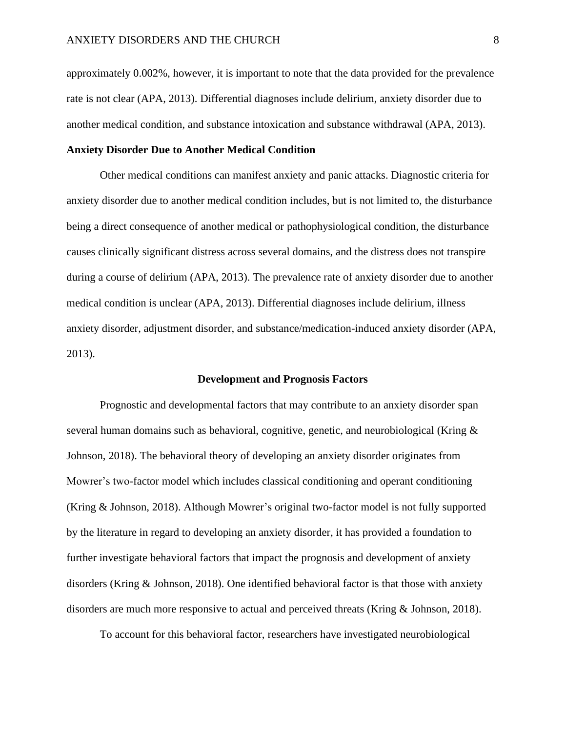approximately 0.002%, however, it is important to note that the data provided for the prevalence rate is not clear (APA, 2013). Differential diagnoses include delirium, anxiety disorder due to another medical condition, and substance intoxication and substance withdrawal (APA, 2013).

## **Anxiety Disorder Due to Another Medical Condition**

Other medical conditions can manifest anxiety and panic attacks. Diagnostic criteria for anxiety disorder due to another medical condition includes, but is not limited to, the disturbance being a direct consequence of another medical or pathophysiological condition, the disturbance causes clinically significant distress across several domains, and the distress does not transpire during a course of delirium (APA, 2013). The prevalence rate of anxiety disorder due to another medical condition is unclear (APA, 2013). Differential diagnoses include delirium, illness anxiety disorder, adjustment disorder, and substance/medication-induced anxiety disorder (APA, 2013).

#### **Development and Prognosis Factors**

Prognostic and developmental factors that may contribute to an anxiety disorder span several human domains such as behavioral, cognitive, genetic, and neurobiological (Kring & Johnson, 2018). The behavioral theory of developing an anxiety disorder originates from Mowrer's two-factor model which includes classical conditioning and operant conditioning (Kring & Johnson, 2018). Although Mowrer's original two-factor model is not fully supported by the literature in regard to developing an anxiety disorder, it has provided a foundation to further investigate behavioral factors that impact the prognosis and development of anxiety disorders (Kring & Johnson, 2018). One identified behavioral factor is that those with anxiety disorders are much more responsive to actual and perceived threats (Kring & Johnson, 2018).

To account for this behavioral factor, researchers have investigated neurobiological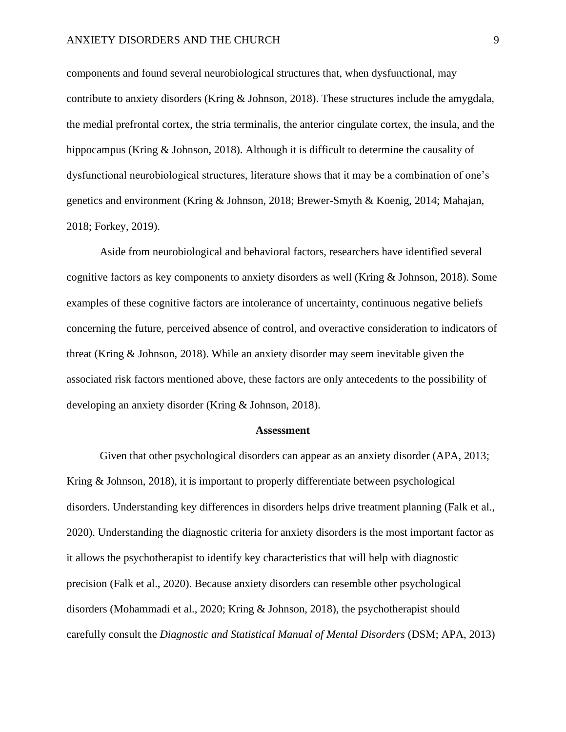### ANXIETY DISORDERS AND THE CHURCH 9

components and found several neurobiological structures that, when dysfunctional, may contribute to anxiety disorders (Kring & Johnson, 2018). These structures include the amygdala, the medial prefrontal cortex, the stria terminalis, the anterior cingulate cortex, the insula, and the hippocampus (Kring & Johnson, 2018). Although it is difficult to determine the causality of dysfunctional neurobiological structures, literature shows that it may be a combination of one's genetics and environment (Kring & Johnson, 2018; Brewer-Smyth & Koenig, 2014; Mahajan, 2018; Forkey, 2019).

Aside from neurobiological and behavioral factors, researchers have identified several cognitive factors as key components to anxiety disorders as well (Kring & Johnson, 2018). Some examples of these cognitive factors are intolerance of uncertainty, continuous negative beliefs concerning the future, perceived absence of control, and overactive consideration to indicators of threat (Kring & Johnson, 2018). While an anxiety disorder may seem inevitable given the associated risk factors mentioned above, these factors are only antecedents to the possibility of developing an anxiety disorder (Kring & Johnson, 2018).

#### **Assessment**

Given that other psychological disorders can appear as an anxiety disorder (APA, 2013; Kring & Johnson, 2018), it is important to properly differentiate between psychological disorders. Understanding key differences in disorders helps drive treatment planning (Falk et al., 2020). Understanding the diagnostic criteria for anxiety disorders is the most important factor as it allows the psychotherapist to identify key characteristics that will help with diagnostic precision (Falk et al., 2020). Because anxiety disorders can resemble other psychological disorders (Mohammadi et al., 2020; Kring & Johnson, 2018), the psychotherapist should carefully consult the *Diagnostic and Statistical Manual of Mental Disorders* (DSM; APA, 2013)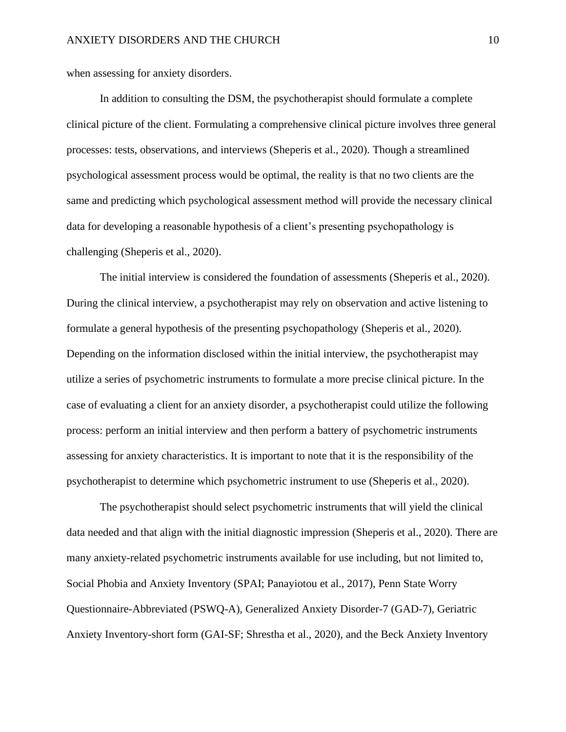when assessing for anxiety disorders.

In addition to consulting the DSM, the psychotherapist should formulate a complete clinical picture of the client. Formulating a comprehensive clinical picture involves three general processes: tests, observations, and interviews (Sheperis et al., 2020). Though a streamlined psychological assessment process would be optimal, the reality is that no two clients are the same and predicting which psychological assessment method will provide the necessary clinical data for developing a reasonable hypothesis of a client's presenting psychopathology is challenging (Sheperis et al., 2020).

The initial interview is considered the foundation of assessments (Sheperis et al., 2020). During the clinical interview, a psychotherapist may rely on observation and active listening to formulate a general hypothesis of the presenting psychopathology (Sheperis et al., 2020). Depending on the information disclosed within the initial interview, the psychotherapist may utilize a series of psychometric instruments to formulate a more precise clinical picture. In the case of evaluating a client for an anxiety disorder, a psychotherapist could utilize the following process: perform an initial interview and then perform a battery of psychometric instruments assessing for anxiety characteristics. It is important to note that it is the responsibility of the psychotherapist to determine which psychometric instrument to use (Sheperis et al., 2020).

The psychotherapist should select psychometric instruments that will yield the clinical data needed and that align with the initial diagnostic impression (Sheperis et al., 2020). There are many anxiety-related psychometric instruments available for use including, but not limited to, Social Phobia and Anxiety Inventory (SPAI; Panayiotou et al., 2017), Penn State Worry Questionnaire-Abbreviated (PSWQ-A), Generalized Anxiety Disorder-7 (GAD-7), Geriatric Anxiety Inventory-short form (GAI-SF; Shrestha et al., 2020), and the Beck Anxiety Inventory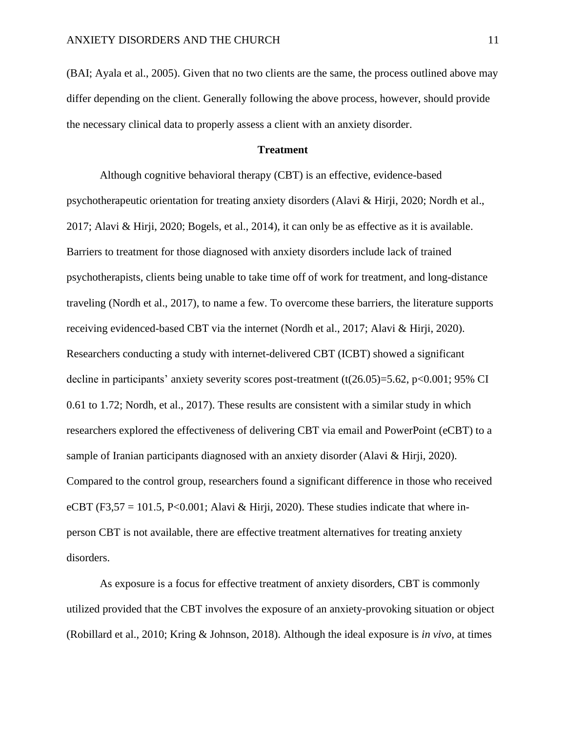(BAI; Ayala et al., 2005). Given that no two clients are the same, the process outlined above may differ depending on the client. Generally following the above process, however, should provide the necessary clinical data to properly assess a client with an anxiety disorder.

### **Treatment**

Although cognitive behavioral therapy (CBT) is an effective, evidence-based psychotherapeutic orientation for treating anxiety disorders (Alavi & Hirji, 2020; Nordh et al., 2017; Alavi & Hirji, 2020; Bogels, et al., 2014), it can only be as effective as it is available. Barriers to treatment for those diagnosed with anxiety disorders include lack of trained psychotherapists, clients being unable to take time off of work for treatment, and long-distance traveling (Nordh et al., 2017), to name a few. To overcome these barriers, the literature supports receiving evidenced-based CBT via the internet (Nordh et al., 2017; Alavi & Hirji, 2020). Researchers conducting a study with internet-delivered CBT (ICBT) showed a significant decline in participants' anxiety severity scores post-treatment  $(t(26.05)=5.62, p<0.001; 95\% \text{ CI}$ 0.61 to 1.72; Nordh, et al., 2017). These results are consistent with a similar study in which researchers explored the effectiveness of delivering CBT via email and PowerPoint (eCBT) to a sample of Iranian participants diagnosed with an anxiety disorder (Alavi & Hirji, 2020). Compared to the control group, researchers found a significant difference in those who received eCBT (F3,57 = 101.5, P<0.001; Alavi & Hirji, 2020). These studies indicate that where inperson CBT is not available, there are effective treatment alternatives for treating anxiety disorders.

As exposure is a focus for effective treatment of anxiety disorders, CBT is commonly utilized provided that the CBT involves the exposure of an anxiety-provoking situation or object (Robillard et al., 2010; Kring & Johnson, 2018). Although the ideal exposure is *in vivo,* at times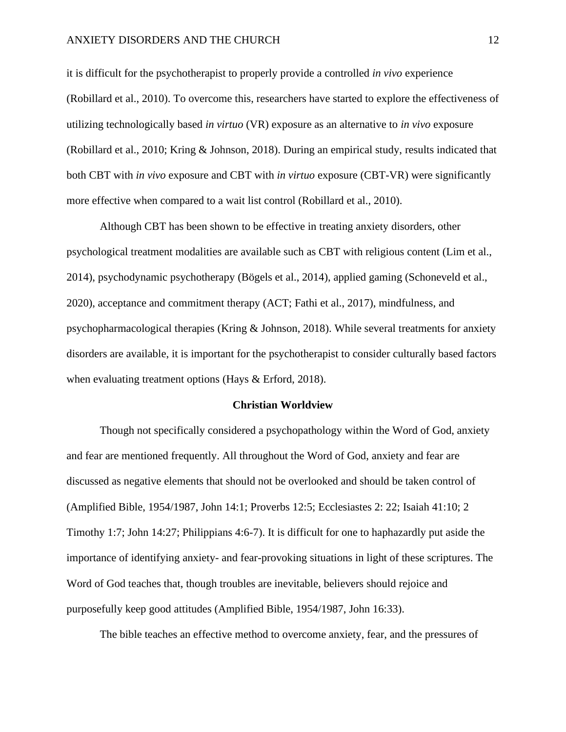it is difficult for the psychotherapist to properly provide a controlled *in vivo* experience (Robillard et al., 2010). To overcome this, researchers have started to explore the effectiveness of utilizing technologically based *in virtuo* (VR) exposure as an alternative to *in vivo* exposure (Robillard et al., 2010; Kring & Johnson, 2018). During an empirical study, results indicated that both CBT with *in vivo* exposure and CBT with *in virtuo* exposure (CBT-VR) were significantly more effective when compared to a wait list control (Robillard et al., 2010).

Although CBT has been shown to be effective in treating anxiety disorders, other psychological treatment modalities are available such as CBT with religious content (Lim et al., 2014), psychodynamic psychotherapy (Bögels et al., 2014), applied gaming (Schoneveld et al., 2020), acceptance and commitment therapy (ACT; Fathi et al., 2017), mindfulness, and psychopharmacological therapies (Kring & Johnson, 2018). While several treatments for anxiety disorders are available, it is important for the psychotherapist to consider culturally based factors when evaluating treatment options (Hays & Erford, 2018).

#### **Christian Worldview**

Though not specifically considered a psychopathology within the Word of God, anxiety and fear are mentioned frequently. All throughout the Word of God, anxiety and fear are discussed as negative elements that should not be overlooked and should be taken control of (Amplified Bible, 1954/1987, John 14:1; Proverbs 12:5; Ecclesiastes 2: 22; Isaiah 41:10; 2 Timothy 1:7; John 14:27; Philippians 4:6-7). It is difficult for one to haphazardly put aside the importance of identifying anxiety- and fear-provoking situations in light of these scriptures. The Word of God teaches that, though troubles are inevitable, believers should rejoice and purposefully keep good attitudes (Amplified Bible, 1954/1987, John 16:33).

The bible teaches an effective method to overcome anxiety, fear, and the pressures of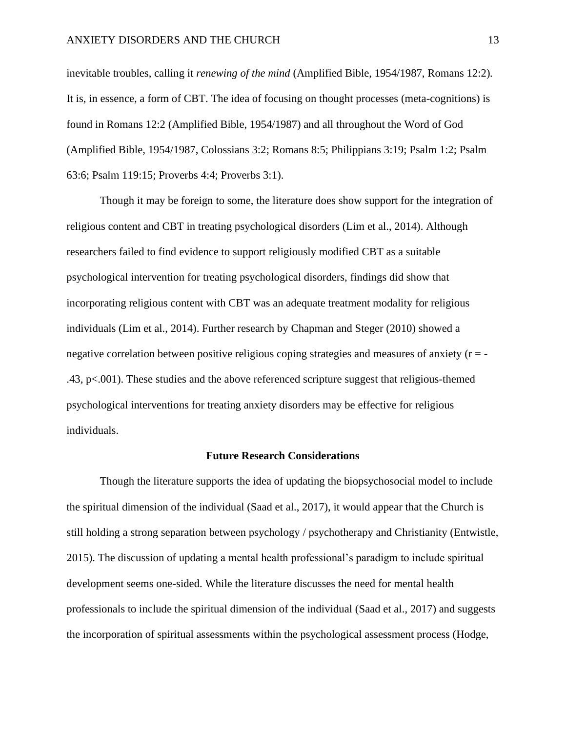inevitable troubles, calling it *renewing of the mind* (Amplified Bible, 1954/1987, Romans 12:2)*.* It is, in essence, a form of CBT. The idea of focusing on thought processes (meta-cognitions) is found in Romans 12:2 (Amplified Bible, 1954/1987) and all throughout the Word of God (Amplified Bible, 1954/1987, Colossians 3:2; Romans 8:5; Philippians 3:19; Psalm 1:2; Psalm 63:6; Psalm 119:15; Proverbs 4:4; Proverbs 3:1).

Though it may be foreign to some, the literature does show support for the integration of religious content and CBT in treating psychological disorders (Lim et al., 2014). Although researchers failed to find evidence to support religiously modified CBT as a suitable psychological intervention for treating psychological disorders, findings did show that incorporating religious content with CBT was an adequate treatment modality for religious individuals (Lim et al., 2014). Further research by Chapman and Steger (2010) showed a negative correlation between positive religious coping strategies and measures of anxiety (r = -.43, p<.001). These studies and the above referenced scripture suggest that religious-themed psychological interventions for treating anxiety disorders may be effective for religious individuals.

#### **Future Research Considerations**

Though the literature supports the idea of updating the biopsychosocial model to include the spiritual dimension of the individual (Saad et al., 2017), it would appear that the Church is still holding a strong separation between psychology / psychotherapy and Christianity (Entwistle, 2015). The discussion of updating a mental health professional's paradigm to include spiritual development seems one-sided. While the literature discusses the need for mental health professionals to include the spiritual dimension of the individual (Saad et al., 2017) and suggests the incorporation of spiritual assessments within the psychological assessment process (Hodge,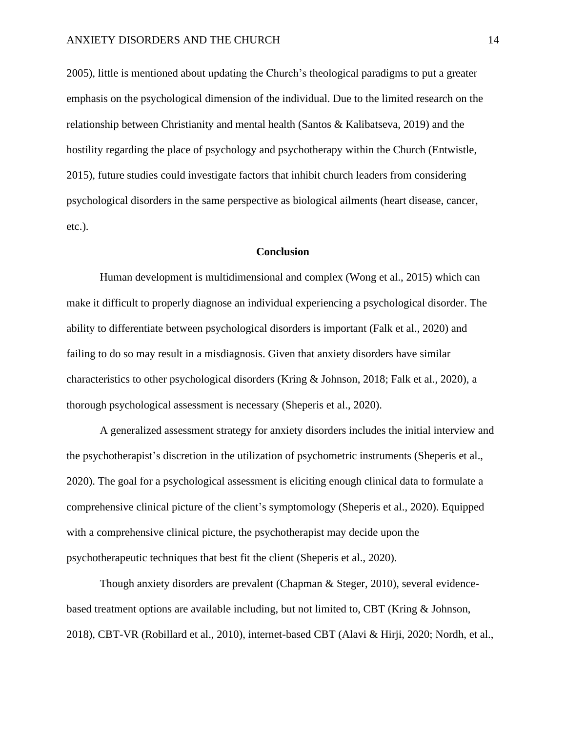2005), little is mentioned about updating the Church's theological paradigms to put a greater emphasis on the psychological dimension of the individual. Due to the limited research on the relationship between Christianity and mental health (Santos & Kalibatseva, 2019) and the hostility regarding the place of psychology and psychotherapy within the Church (Entwistle, 2015), future studies could investigate factors that inhibit church leaders from considering psychological disorders in the same perspective as biological ailments (heart disease, cancer, etc.).

### **Conclusion**

Human development is multidimensional and complex (Wong et al., 2015) which can make it difficult to properly diagnose an individual experiencing a psychological disorder. The ability to differentiate between psychological disorders is important (Falk et al., 2020) and failing to do so may result in a misdiagnosis. Given that anxiety disorders have similar characteristics to other psychological disorders (Kring & Johnson, 2018; Falk et al., 2020), a thorough psychological assessment is necessary (Sheperis et al., 2020).

A generalized assessment strategy for anxiety disorders includes the initial interview and the psychotherapist's discretion in the utilization of psychometric instruments (Sheperis et al., 2020). The goal for a psychological assessment is eliciting enough clinical data to formulate a comprehensive clinical picture of the client's symptomology (Sheperis et al., 2020). Equipped with a comprehensive clinical picture, the psychotherapist may decide upon the psychotherapeutic techniques that best fit the client (Sheperis et al., 2020).

Though anxiety disorders are prevalent (Chapman & Steger, 2010), several evidencebased treatment options are available including, but not limited to, CBT (Kring & Johnson, 2018), CBT-VR (Robillard et al., 2010), internet-based CBT (Alavi & Hirji, 2020; Nordh, et al.,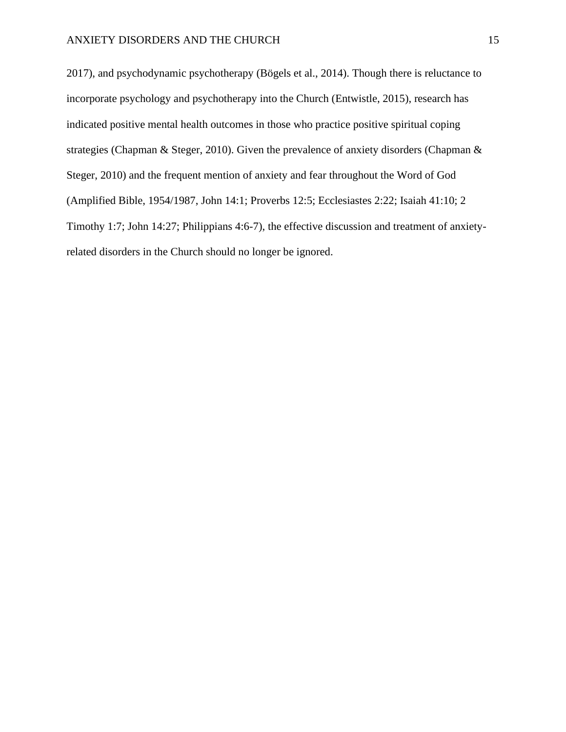2017), and psychodynamic psychotherapy (Bögels et al., 2014). Though there is reluctance to incorporate psychology and psychotherapy into the Church (Entwistle, 2015), research has indicated positive mental health outcomes in those who practice positive spiritual coping strategies (Chapman & Steger, 2010). Given the prevalence of anxiety disorders (Chapman & Steger, 2010) and the frequent mention of anxiety and fear throughout the Word of God (Amplified Bible, 1954/1987, John 14:1; Proverbs 12:5; Ecclesiastes 2:22; Isaiah 41:10; 2 Timothy 1:7; John 14:27; Philippians 4:6-7), the effective discussion and treatment of anxietyrelated disorders in the Church should no longer be ignored.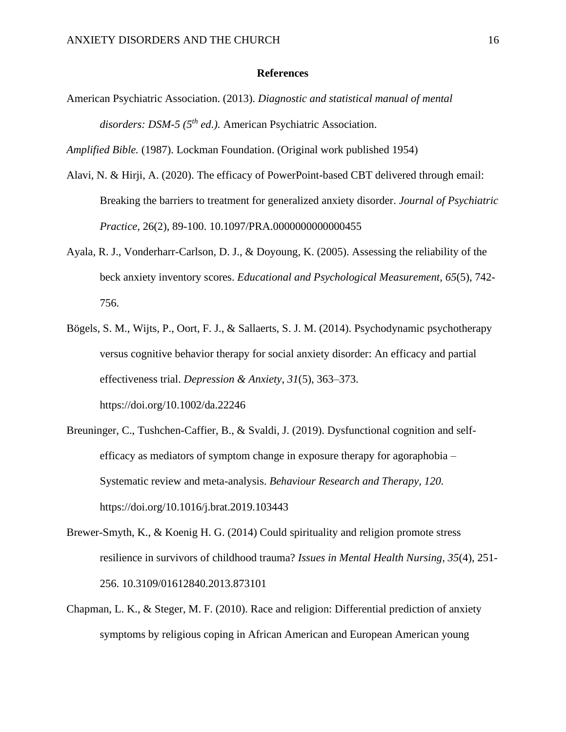#### **References**

American Psychiatric Association. (2013). *Diagnostic and statistical manual of mental disorders: DSM-5 (5th ed.).* American Psychiatric Association.

*Amplified Bible.* (1987). Lockman Foundation. (Original work published 1954)

- Alavi, N. & Hirji, A. (2020). The efficacy of PowerPoint-based CBT delivered through email: Breaking the barriers to treatment for generalized anxiety disorder. *Journal of Psychiatric Practice*, 26(2), 89-100. 10.1097/PRA.0000000000000455
- Ayala, R. J., Vonderharr-Carlson, D. J., & Doyoung, K. (2005). Assessing the reliability of the beck anxiety inventory scores. *Educational and Psychological Measurement, 65*(5), 742- 756.
- Bögels, S. M., Wijts, P., Oort, F. J., & Sallaerts, S. J. M. (2014). Psychodynamic psychotherapy versus cognitive behavior therapy for social anxiety disorder: An efficacy and partial effectiveness trial. *Depression & Anxiety*, *31*(5), 363–373. https://doi.org/10.1002/da.22246
- Breuninger, C., Tushchen-Caffier, B., & Svaldi, J. (2019). Dysfunctional cognition and selfefficacy as mediators of symptom change in exposure therapy for agoraphobia – Systematic review and meta-analysis. *Behaviour Research and Therapy, 120.* https://doi.org/10.1016/j.brat.2019.103443
- Brewer-Smyth, K., & Koenig H. G. (2014) Could spirituality and religion promote stress resilience in survivors of childhood trauma? *Issues in Mental Health Nursing, 35*(4), 251- 256. 10.3109/01612840.2013.873101
- Chapman, L. K., & Steger, M. F. (2010). Race and religion: Differential prediction of anxiety symptoms by religious coping in African American and European American young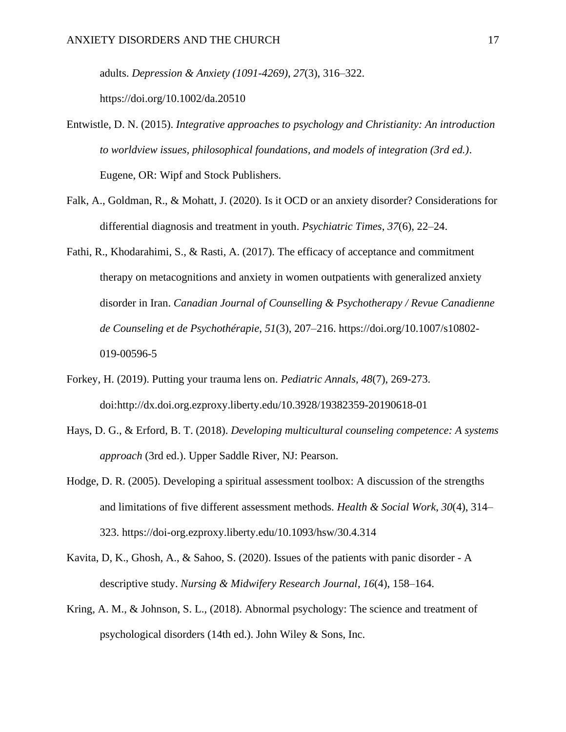adults. *Depression & Anxiety (1091-4269)*, *27*(3), 316–322.

https://doi.org/10.1002/da.20510

- Entwistle, D. N. (2015). *Integrative approaches to psychology and Christianity: An introduction to worldview issues, philosophical foundations, and models of integration (3rd ed.)*. Eugene, OR: Wipf and Stock Publishers.
- Falk, A., Goldman, R., & Mohatt, J. (2020). Is it OCD or an anxiety disorder? Considerations for differential diagnosis and treatment in youth. *Psychiatric Times*, *37*(6), 22–24.
- Fathi, R., Khodarahimi, S., & Rasti, A. (2017). The efficacy of acceptance and commitment therapy on metacognitions and anxiety in women outpatients with generalized anxiety disorder in Iran. *Canadian Journal of Counselling & Psychotherapy / Revue Canadienne de Counseling et de Psychothérapie*, *51*(3), 207–216. https://doi.org/10.1007/s10802- 019-00596-5
- Forkey, H. (2019). Putting your trauma lens on. *Pediatric Annals, 48*(7), 269-273. doi:http://dx.doi.org.ezproxy.liberty.edu/10.3928/19382359-20190618-01
- Hays, D. G., & Erford, B. T. (2018). *Developing multicultural counseling competence: A systems approach* (3rd ed.). Upper Saddle River, NJ: Pearson.
- Hodge, D. R. (2005). Developing a spiritual assessment toolbox: A discussion of the strengths and limitations of five different assessment methods. *Health & Social Work*, *30*(4), 314– 323. https://doi-org.ezproxy.liberty.edu/10.1093/hsw/30.4.314
- Kavita, D, K., Ghosh, A., & Sahoo, S. (2020). Issues of the patients with panic disorder A descriptive study. *Nursing & Midwifery Research Journal*, *16*(4), 158–164.
- Kring, A. M., & Johnson, S. L., (2018). Abnormal psychology: The science and treatment of psychological disorders (14th ed.). John Wiley & Sons, Inc.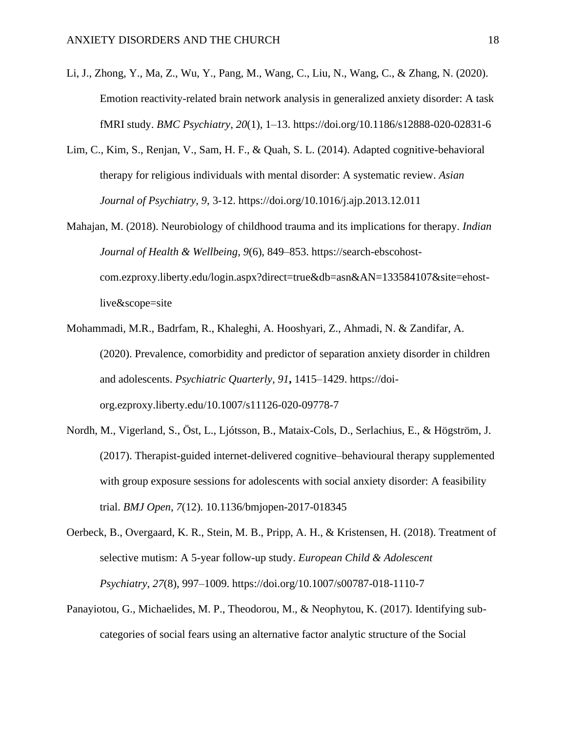- Li, J., Zhong, Y., Ma, Z., Wu, Y., Pang, M., Wang, C., Liu, N., Wang, C., & Zhang, N. (2020). Emotion reactivity-related brain network analysis in generalized anxiety disorder: A task fMRI study. *BMC Psychiatry*, *20*(1), 1–13. https://doi.org/10.1186/s12888-020-02831-6
- Lim, C., Kim, S., Renjan, V., Sam, H. F., & Quah, S. L. (2014). Adapted cognitive-behavioral therapy for religious individuals with mental disorder: A systematic review. *Asian Journal of Psychiatry, 9*, 3-12. https://doi.org/10.1016/j.ajp.2013.12.011
- Mahajan, M. (2018). Neurobiology of childhood trauma and its implications for therapy. *Indian Journal of Health & Wellbeing*, *9*(6), 849–853. https://search-ebscohostcom.ezproxy.liberty.edu/login.aspx?direct=true&db=asn&AN=133584107&site=ehostlive&scope=site
- Mohammadi, M.R., Badrfam, R., Khaleghi, A. Hooshyari, Z., Ahmadi, N. & Zandifar, A. (2020). Prevalence, comorbidity and predictor of separation anxiety disorder in children and adolescents. *Psychiatric Quarterly, 91***,** 1415–1429. https://doiorg.ezproxy.liberty.edu/10.1007/s11126-020-09778-7
- Nordh, M., Vigerland, S., Öst, L., Ljótsson, B., Mataix-Cols, D., Serlachius, E., & Högström, J. (2017). Therapist-guided internet-delivered cognitive–behavioural therapy supplemented with group exposure sessions for adolescents with social anxiety disorder: A feasibility trial. *BMJ Open*, *7*(12). 10.1136/bmjopen-2017-018345
- Oerbeck, B., Overgaard, K. R., Stein, M. B., Pripp, A. H., & Kristensen, H. (2018). Treatment of selective mutism: A 5-year follow-up study. *European Child & Adolescent Psychiatry*, *27*(8), 997–1009. https://doi.org/10.1007/s00787-018-1110-7
- Panayiotou, G., Michaelides, M. P., Theodorou, M., & Neophytou, K. (2017). Identifying subcategories of social fears using an alternative factor analytic structure of the Social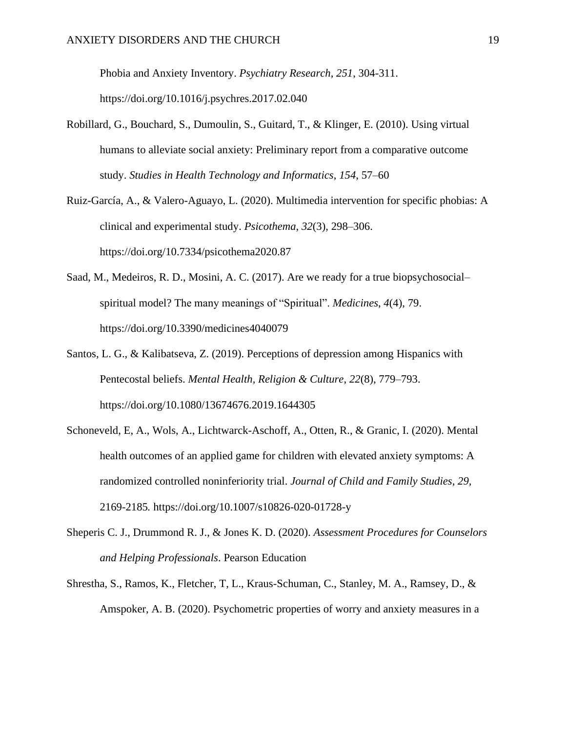Phobia and Anxiety Inventory. *Psychiatry Research, 251*, 304-311. https://doi.org/10.1016/j.psychres.2017.02.040

- Robillard, G., Bouchard, S., Dumoulin, S., Guitard, T., & Klinger, E. (2010). Using virtual humans to alleviate social anxiety: Preliminary report from a comparative outcome study. *Studies in Health Technology and Informatics*, *154*, 57–60
- Ruiz-García, A., & Valero-Aguayo, L. (2020). Multimedia intervention for specific phobias: A clinical and experimental study. *Psicothema*, *32*(3), 298–306. https://doi.org/10.7334/psicothema2020.87
- Saad, M., Medeiros, R. D., Mosini, A. C. (2017). Are we ready for a true biopsychosocial– spiritual model? The many meanings of "Spiritual". *Medicines*, *4*(4), 79. https://doi.org/10.3390/medicines4040079
- Santos, L. G., & Kalibatseva, Z. (2019). Perceptions of depression among Hispanics with Pentecostal beliefs. *Mental Health, Religion & Culture*, *22*(8), 779–793. https://doi.org/10.1080/13674676.2019.1644305
- Schoneveld, E, A., Wols, A., Lichtwarck-Aschoff, A., Otten, R., & Granic, I. (2020). Mental health outcomes of an applied game for children with elevated anxiety symptoms: A randomized controlled noninferiority trial. *Journal of Child and Family Studies, 29,*  2169-2185*.* https://doi.org/10.1007/s10826-020-01728-y
- Sheperis C. J., Drummond R. J., & Jones K. D. (2020). *Assessment Procedures for Counselors and Helping Professionals*. Pearson Education
- Shrestha, S., Ramos, K., Fletcher, T, L., Kraus-Schuman, C., Stanley, M. A., Ramsey, D., & Amspoker, A. B. (2020). Psychometric properties of worry and anxiety measures in a